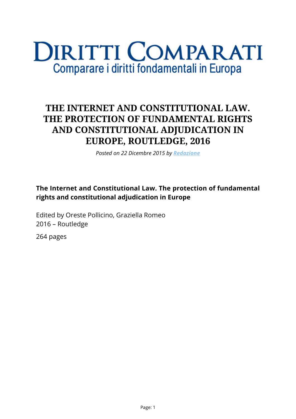# **DIRITTI COMPARATI** Comparare i diritti fondamentali in Europa

# **THE INTERNET AND CONSTITUTIONAL LAW. THE PROTECTION OF FUNDAMENTAL RIGHTS AND CONSTITUTIONAL ADJUDICATION IN EUROPE, ROUTLEDGE, 2016**

*Posted on 22 Dicembre 2015 by [Redazione](https://www.diritticomparati.it/autore/redazione/)*

#### **The Internet and Constitutional Law. The protection of fundamental rights and constitutional adjudication in Europe**

Edited by Oreste Pollicino, Graziella Romeo 2016 – Routledge

264 pages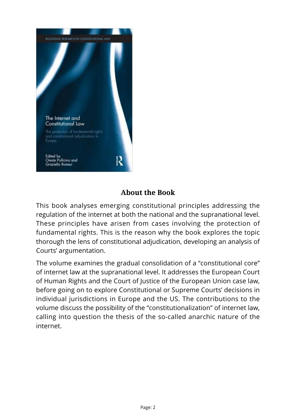

## **About the Book**

This book analyses emerging constitutional principles addressing the regulation of the internet at both the national and the supranational level. These principles have arisen from cases involving the protection of fundamental rights. This is the reason why the book explores the topic thorough the lens of constitutional adjudication, developing an analysis of Courts' argumentation.

The volume examines the gradual consolidation of a "constitutional core" of internet law at the supranational level. It addresses the European Court of Human Rights and the Court of Justice of the European Union case law, before going on to explore Constitutional or Supreme Courts' decisions in individual jurisdictions in Europe and the US. The contributions to the volume discuss the possibility of the "constitutionalization" of internet law, calling into question the thesis of the so-called anarchic nature of the internet.